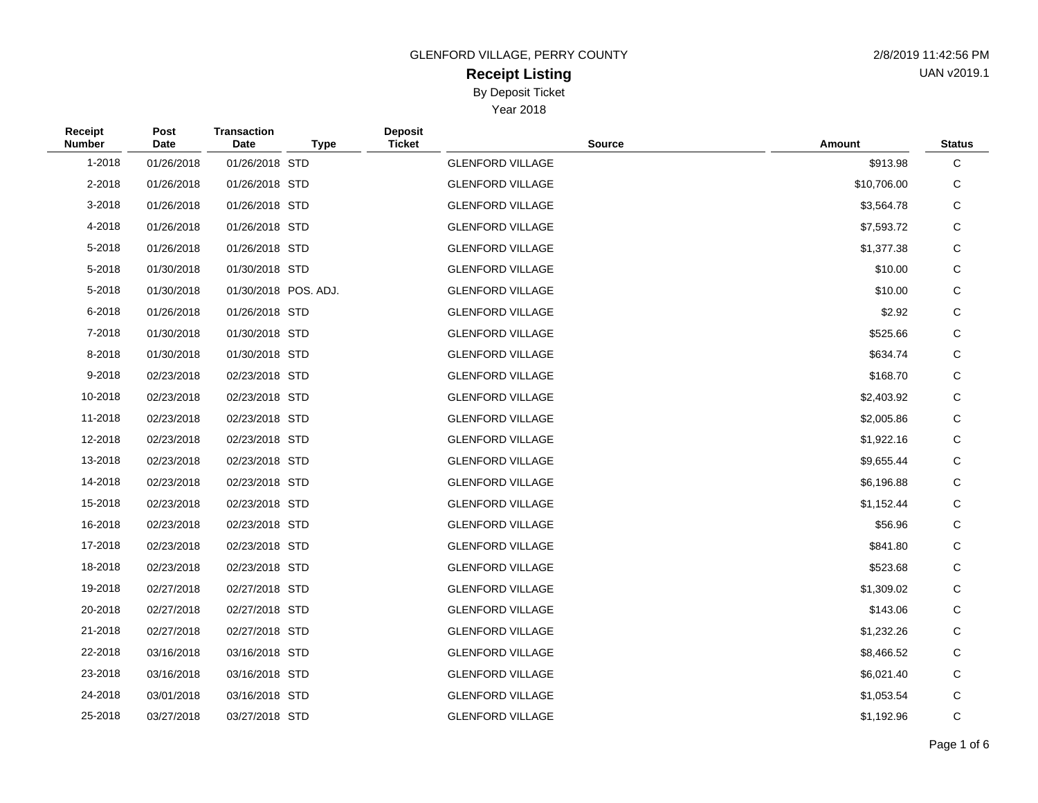#### **Receipt Listing** By Deposit Ticket

Year 2018

| <b>GLENFORD VILLAGE, PERRY COUNTY</b> | 2/8/2019 11:42:56 PM |
|---------------------------------------|----------------------|
| <b>Receint Listing</b>                | UAN v2019.1          |

**Receipt Number Post Date Transaction Date Type Deposit Ticket Source Amount Status** 1-2018 01/26/2018 01/26/2018 STD GLENFORD VILLAGE \$913.98 C 2-2018 01/26/2018 01/26/2018 STD GLENFORD VILLAGE \$10,706.00 C 3-2018 01/26/2018 01/26/2018 STD GLENFORD VILLAGE \$3,564.78 C 4-2018 01/26/2018 01/26/2018 STD GLENFORD VILLAGE \$7,593.72 C 5-2018 01/26/2018 01/26/2018 STD GLENFORD VILLAGE \$1,377.38 C 5-2018 01/30/2018 01/30/2018 STD GLENFORD VILLAGE \$10.00 C 5-2018 01/30/2018 01/30/2018 POS. ADJ. GLENFORD VILLAGE \$10.00 C 6-2018 01/26/2018 01/26/2018 STD GLENFORD VILLAGE \$2.92 C 7-2018 01/30/2018 01/30/2018 STD GLENFORD VILLAGE \$525.66 C 8-2018 01/30/2018 01/30/2018 STD GLENFORD VILLAGE S634.74 C 9-2018 02/23/2018 02/23/2018 STD GLENFORD VILLAGE \$168.70 C 10-2018 02/23/2018 02/23/2018 STD GLENFORD VILLAGE \$2,403.92 C 11-2018 02/23/2018 02/23/2018 STD GLENFORD VILLAGE \$2,005.86 C 12-2018 02/23/2018 02/23/2018 STD GLENFORD VILLAGE \$1,922.16 C 13-2018 02/23/2018 02/23/2018 STD GLENFORD VILLAGE \$9,655.44 C 14-2018 02/23/2018 02/23/2018 STD GLENFORD VILLAGE \$6,196.88 C 15-2018 02/23/2018 02/23/2018 STD GLENFORD VILLAGE \$1,152.44 C 16-2018 02/23/2018 02/23/2018 STD GLENFORD VILLAGE \$56.96 C 17-2018 02/23/2018 02/23/2018 STD GLENFORD VILLAGE \$841.80 C 18-2018 02/23/2018 02/23/2018 STD GLENFORD VILLAGE \$523.68 C 19-2018 02/27/2018 02/27/2018 STD GLENFORD VILLAGE \$1,309.02 C 20-2018 02/27/2018 02/27/2018 STD GLENFORD VILLAGE \$143.06 C 21-2018 02/27/2018 02/27/2018 STD GLENFORD VILLAGE \$1,232.26 C 22-2018 03/16/2018 03/16/2018 STD GLENFORD VILLAGE \$8,466.52 C 23-2018 03/16/2018 03/16/2018 STD GLENFORD VILLAGE \$6,021.40 C 24-2018 03/01/2018 03/16/2018 STD GLENFORD VILLAGE \$1,053.54 C 25-2018 03/27/2018 03/27/2018 STD GLENFORD VILLAGE \$1,192.96 C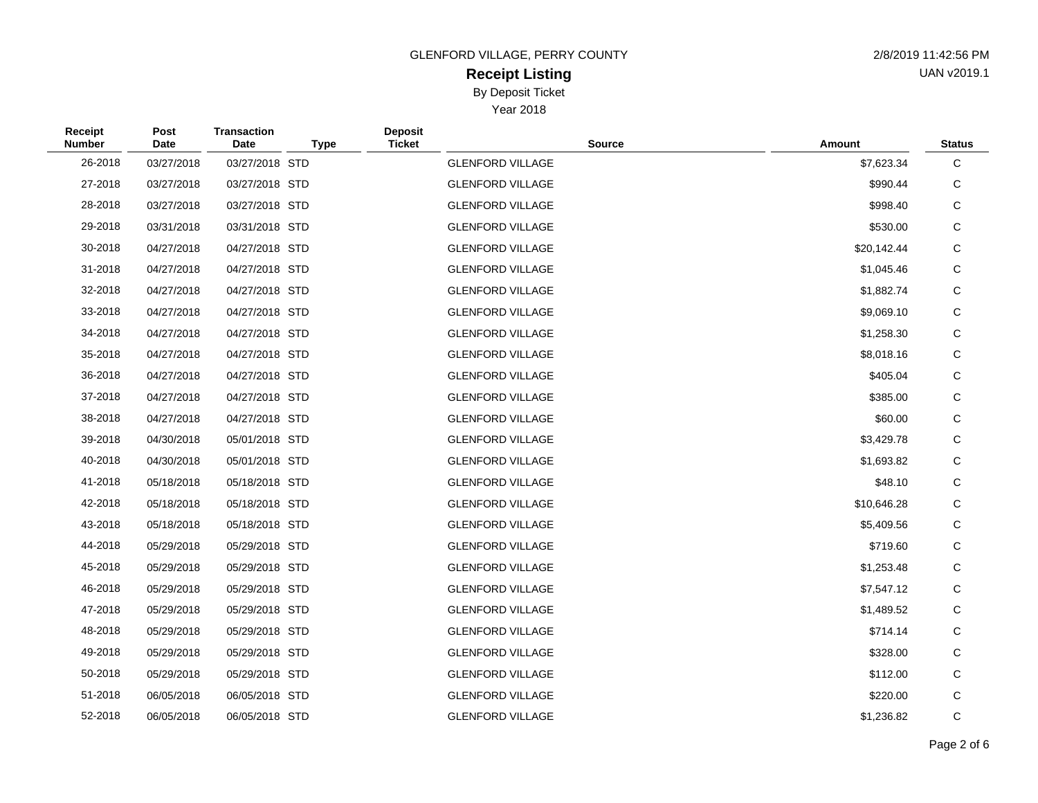GLENFORD VILLAGE, PERRY COUNTY

## **Receipt Listing** By Deposit Ticket

Year 2018

| 2/8/2019 11:42:56 PM |
|----------------------|
| UAN v2019.1          |

| Receipt<br><b>Number</b> | Post<br>Date | <b>Transaction</b><br>Date | <b>Type</b> | <b>Deposit</b><br><b>Ticket</b> | <b>Source</b> | Amount      | <b>Status</b> |
|--------------------------|--------------|----------------------------|-------------|---------------------------------|---------------|-------------|---------------|
| 26-2018                  | 03/27/2018   | 03/27/2018 STD             |             | <b>GLENFORD VILLAGE</b>         |               | \$7,623.34  | C             |
| 27-2018                  | 03/27/2018   | 03/27/2018 STD             |             | <b>GLENFORD VILLAGE</b>         |               | \$990.44    | C             |
| 28-2018                  | 03/27/2018   | 03/27/2018 STD             |             | <b>GLENFORD VILLAGE</b>         |               | \$998.40    | C             |
| 29-2018                  | 03/31/2018   | 03/31/2018 STD             |             | <b>GLENFORD VILLAGE</b>         |               | \$530.00    | C             |
| 30-2018                  | 04/27/2018   | 04/27/2018 STD             |             | <b>GLENFORD VILLAGE</b>         |               | \$20,142.44 | C             |
| 31-2018                  | 04/27/2018   | 04/27/2018 STD             |             | <b>GLENFORD VILLAGE</b>         |               | \$1,045.46  | C             |
| 32-2018                  | 04/27/2018   | 04/27/2018 STD             |             | <b>GLENFORD VILLAGE</b>         |               | \$1,882.74  | C             |
| 33-2018                  | 04/27/2018   | 04/27/2018 STD             |             | <b>GLENFORD VILLAGE</b>         |               | \$9,069.10  | $\mathsf C$   |
| 34-2018                  | 04/27/2018   | 04/27/2018 STD             |             | <b>GLENFORD VILLAGE</b>         |               | \$1,258.30  | C             |
| 35-2018                  | 04/27/2018   | 04/27/2018 STD             |             | <b>GLENFORD VILLAGE</b>         |               | \$8,018.16  | C             |
| 36-2018                  | 04/27/2018   | 04/27/2018 STD             |             | <b>GLENFORD VILLAGE</b>         |               | \$405.04    | C             |
| 37-2018                  | 04/27/2018   | 04/27/2018 STD             |             | <b>GLENFORD VILLAGE</b>         |               | \$385.00    | C             |
| 38-2018                  | 04/27/2018   | 04/27/2018 STD             |             | <b>GLENFORD VILLAGE</b>         |               | \$60.00     | $\mathsf C$   |
| 39-2018                  | 04/30/2018   | 05/01/2018 STD             |             | <b>GLENFORD VILLAGE</b>         |               | \$3,429.78  | C             |
| 40-2018                  | 04/30/2018   | 05/01/2018 STD             |             | <b>GLENFORD VILLAGE</b>         |               | \$1,693.82  | C             |
| 41-2018                  | 05/18/2018   | 05/18/2018 STD             |             | <b>GLENFORD VILLAGE</b>         |               | \$48.10     | C             |
| 42-2018                  | 05/18/2018   | 05/18/2018 STD             |             | <b>GLENFORD VILLAGE</b>         |               | \$10,646.28 | C             |
| 43-2018                  | 05/18/2018   | 05/18/2018 STD             |             | <b>GLENFORD VILLAGE</b>         |               | \$5,409.56  | C             |
| 44-2018                  | 05/29/2018   | 05/29/2018 STD             |             | <b>GLENFORD VILLAGE</b>         |               | \$719.60    | $\mathsf C$   |
| 45-2018                  | 05/29/2018   | 05/29/2018 STD             |             | <b>GLENFORD VILLAGE</b>         |               | \$1,253.48  | C             |
| 46-2018                  | 05/29/2018   | 05/29/2018 STD             |             | <b>GLENFORD VILLAGE</b>         |               | \$7,547.12  | C             |
| 47-2018                  | 05/29/2018   | 05/29/2018 STD             |             | <b>GLENFORD VILLAGE</b>         |               | \$1,489.52  | C             |
| 48-2018                  | 05/29/2018   | 05/29/2018 STD             |             | <b>GLENFORD VILLAGE</b>         |               | \$714.14    | C             |
| 49-2018                  | 05/29/2018   | 05/29/2018 STD             |             | <b>GLENFORD VILLAGE</b>         |               | \$328.00    | $\mathsf C$   |
| 50-2018                  | 05/29/2018   | 05/29/2018 STD             |             | <b>GLENFORD VILLAGE</b>         |               | \$112.00    | C             |
| 51-2018                  | 06/05/2018   | 06/05/2018 STD             |             | <b>GLENFORD VILLAGE</b>         |               | \$220.00    | C             |
| 52-2018                  | 06/05/2018   | 06/05/2018 STD             |             | <b>GLENFORD VILLAGE</b>         |               | \$1,236.82  | C             |
|                          |              |                            |             |                                 |               |             |               |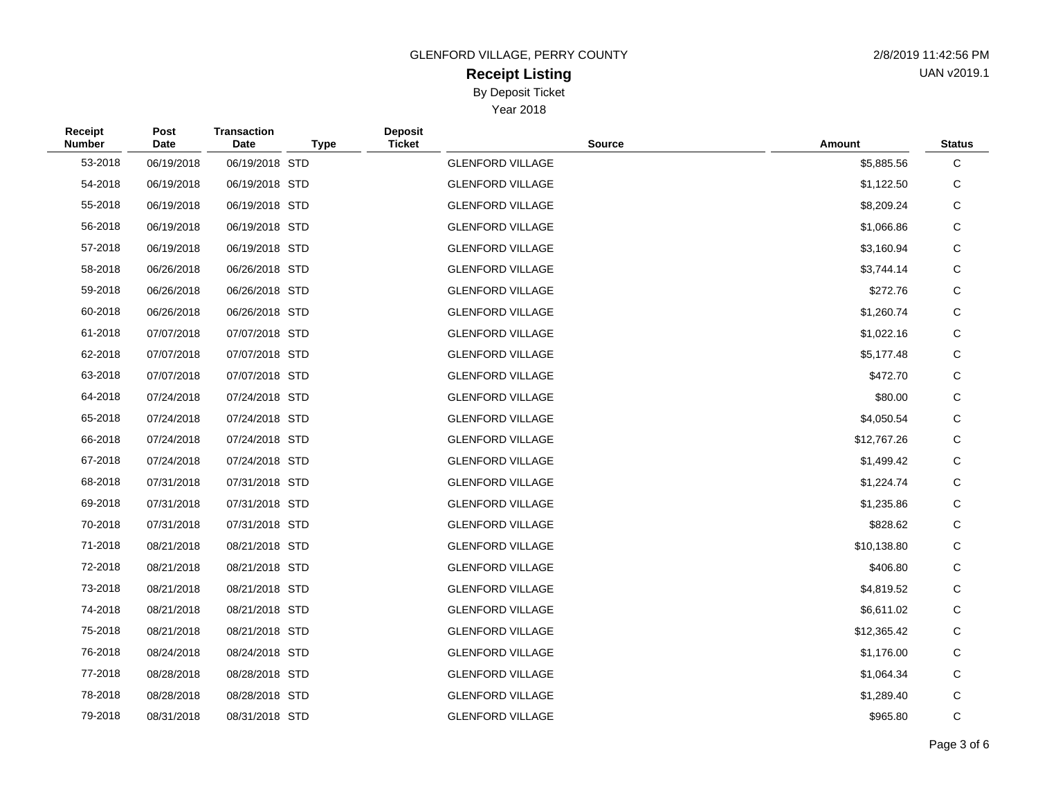GLENFORD VILLAGE, PERRY COUNTY

## **Receipt Listing** By Deposit Ticket

Year 2018

| 2/8/2019 11:42:56 PM |
|----------------------|
| UAN v2019.1          |

| Receipt<br><b>Number</b> | Post<br><b>Date</b> | <b>Transaction</b><br><b>Date</b> | <b>Type</b> | <b>Deposit</b><br><b>Ticket</b> | <b>Source</b>           | Amount      | <b>Status</b> |
|--------------------------|---------------------|-----------------------------------|-------------|---------------------------------|-------------------------|-------------|---------------|
| 53-2018                  | 06/19/2018          | 06/19/2018 STD                    |             |                                 | <b>GLENFORD VILLAGE</b> | \$5,885.56  | $\mathbf C$   |
| 54-2018                  | 06/19/2018          | 06/19/2018 STD                    |             |                                 | <b>GLENFORD VILLAGE</b> | \$1,122.50  | C             |
| 55-2018                  | 06/19/2018          | 06/19/2018 STD                    |             |                                 | <b>GLENFORD VILLAGE</b> | \$8,209.24  | C             |
| 56-2018                  | 06/19/2018          | 06/19/2018 STD                    |             |                                 | <b>GLENFORD VILLAGE</b> | \$1,066.86  | C             |
| 57-2018                  | 06/19/2018          | 06/19/2018 STD                    |             |                                 | <b>GLENFORD VILLAGE</b> | \$3,160.94  | C             |
| 58-2018                  | 06/26/2018          | 06/26/2018 STD                    |             |                                 | <b>GLENFORD VILLAGE</b> | \$3,744.14  | C             |
| 59-2018                  | 06/26/2018          | 06/26/2018 STD                    |             |                                 | <b>GLENFORD VILLAGE</b> | \$272.76    | $\mathbf C$   |
| 60-2018                  | 06/26/2018          | 06/26/2018 STD                    |             |                                 | <b>GLENFORD VILLAGE</b> | \$1,260.74  | C             |
| 61-2018                  | 07/07/2018          | 07/07/2018 STD                    |             |                                 | <b>GLENFORD VILLAGE</b> | \$1,022.16  | C             |
| 62-2018                  | 07/07/2018          | 07/07/2018 STD                    |             |                                 | <b>GLENFORD VILLAGE</b> | \$5,177.48  | C             |
| 63-2018                  | 07/07/2018          | 07/07/2018 STD                    |             |                                 | <b>GLENFORD VILLAGE</b> | \$472.70    | $\mathbf C$   |
| 64-2018                  | 07/24/2018          | 07/24/2018 STD                    |             |                                 | <b>GLENFORD VILLAGE</b> | \$80.00     | $\mathsf C$   |
| 65-2018                  | 07/24/2018          | 07/24/2018 STD                    |             |                                 | <b>GLENFORD VILLAGE</b> | \$4,050.54  | C             |
| 66-2018                  | 07/24/2018          | 07/24/2018 STD                    |             |                                 | <b>GLENFORD VILLAGE</b> | \$12,767.26 | C             |
| 67-2018                  | 07/24/2018          | 07/24/2018 STD                    |             |                                 | <b>GLENFORD VILLAGE</b> | \$1,499.42  | C             |
| 68-2018                  | 07/31/2018          | 07/31/2018 STD                    |             |                                 | <b>GLENFORD VILLAGE</b> | \$1,224.74  | C             |
| 69-2018                  | 07/31/2018          | 07/31/2018 STD                    |             |                                 | <b>GLENFORD VILLAGE</b> | \$1,235.86  | $\mathbf C$   |
| 70-2018                  | 07/31/2018          | 07/31/2018 STD                    |             |                                 | <b>GLENFORD VILLAGE</b> | \$828.62    | C             |
| 71-2018                  | 08/21/2018          | 08/21/2018 STD                    |             |                                 | <b>GLENFORD VILLAGE</b> | \$10,138.80 | C             |
| 72-2018                  | 08/21/2018          | 08/21/2018 STD                    |             |                                 | <b>GLENFORD VILLAGE</b> | \$406.80    | $\mathbf C$   |
| 73-2018                  | 08/21/2018          | 08/21/2018 STD                    |             |                                 | <b>GLENFORD VILLAGE</b> | \$4,819.52  | C             |
| 74-2018                  | 08/21/2018          | 08/21/2018 STD                    |             |                                 | <b>GLENFORD VILLAGE</b> | \$6,611.02  | C             |
| 75-2018                  | 08/21/2018          | 08/21/2018 STD                    |             |                                 | <b>GLENFORD VILLAGE</b> | \$12,365.42 | $\mathbf C$   |
| 76-2018                  | 08/24/2018          | 08/24/2018 STD                    |             |                                 | <b>GLENFORD VILLAGE</b> | \$1,176.00  | C             |
| 77-2018                  | 08/28/2018          | 08/28/2018 STD                    |             |                                 | <b>GLENFORD VILLAGE</b> | \$1,064.34  | C             |
| 78-2018                  | 08/28/2018          | 08/28/2018 STD                    |             |                                 | <b>GLENFORD VILLAGE</b> | \$1,289.40  | C             |
| 79-2018                  | 08/31/2018          | 08/31/2018 STD                    |             |                                 | <b>GLENFORD VILLAGE</b> | \$965.80    | C             |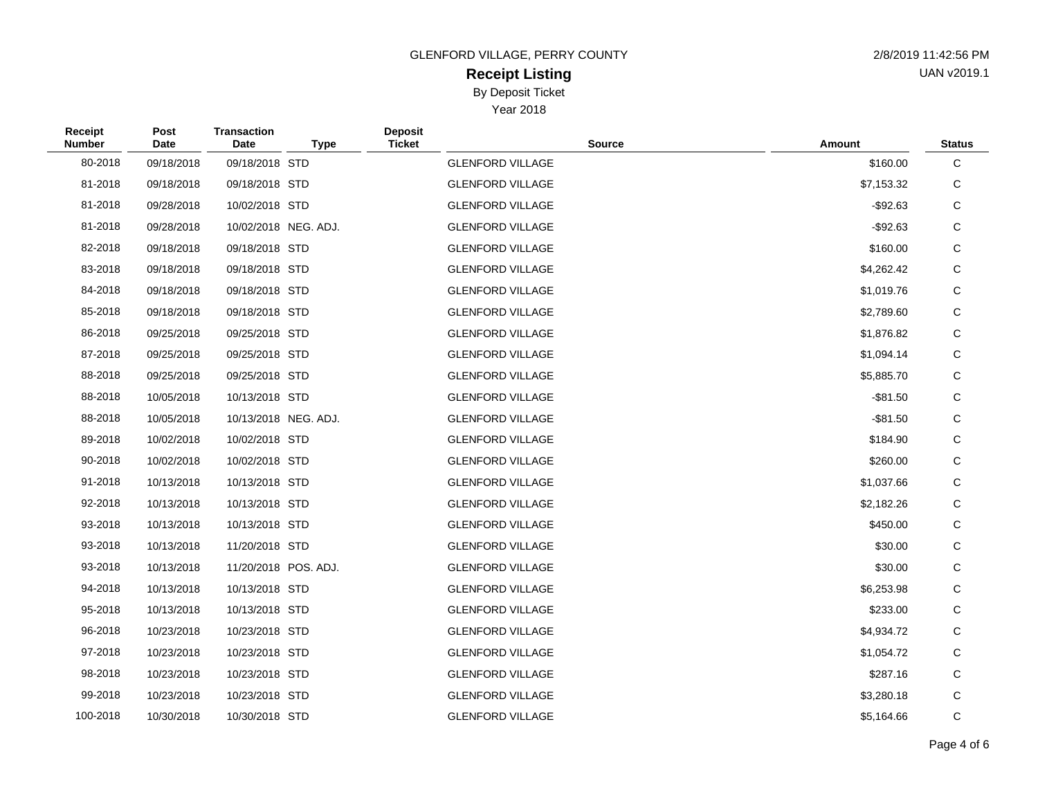GLENFORD VILLAGE, PERRY COUNTY 2/8/2019 11:42:56 PM

# **Receipt Listing** By Deposit Ticket

Year 2018

| 2/8/2019 11:42:56 PM |
|----------------------|
| UAN v2019.1          |

| Receipt<br><b>Number</b> | Post<br>Date | <b>Transaction</b><br>Date | <b>Type</b>          | <b>Deposit</b><br><b>Ticket</b> | <b>Source</b>           | Amount      | <b>Status</b> |
|--------------------------|--------------|----------------------------|----------------------|---------------------------------|-------------------------|-------------|---------------|
| 80-2018                  | 09/18/2018   | 09/18/2018 STD             |                      |                                 | <b>GLENFORD VILLAGE</b> | \$160.00    | C             |
| 81-2018                  | 09/18/2018   | 09/18/2018 STD             |                      |                                 | <b>GLENFORD VILLAGE</b> | \$7,153.32  | C             |
| 81-2018                  | 09/28/2018   | 10/02/2018 STD             |                      |                                 | <b>GLENFORD VILLAGE</b> | $-$ \$92.63 | $\mathsf C$   |
| 81-2018                  | 09/28/2018   |                            | 10/02/2018 NEG. ADJ. |                                 | <b>GLENFORD VILLAGE</b> | $-$ \$92.63 | C             |
| 82-2018                  | 09/18/2018   | 09/18/2018 STD             |                      |                                 | <b>GLENFORD VILLAGE</b> | \$160.00    | $\mathsf C$   |
| 83-2018                  | 09/18/2018   | 09/18/2018 STD             |                      |                                 | <b>GLENFORD VILLAGE</b> | \$4,262.42  | C             |
| 84-2018                  | 09/18/2018   | 09/18/2018 STD             |                      |                                 | <b>GLENFORD VILLAGE</b> | \$1,019.76  | $\mathsf C$   |
| 85-2018                  | 09/18/2018   | 09/18/2018 STD             |                      |                                 | <b>GLENFORD VILLAGE</b> | \$2,789.60  | C             |
| 86-2018                  | 09/25/2018   | 09/25/2018 STD             |                      |                                 | <b>GLENFORD VILLAGE</b> | \$1,876.82  | $\mathsf C$   |
| 87-2018                  | 09/25/2018   | 09/25/2018 STD             |                      |                                 | <b>GLENFORD VILLAGE</b> | \$1,094.14  | C             |
| 88-2018                  | 09/25/2018   | 09/25/2018 STD             |                      |                                 | <b>GLENFORD VILLAGE</b> | \$5,885.70  | $\mathsf C$   |
| 88-2018                  | 10/05/2018   | 10/13/2018 STD             |                      |                                 | <b>GLENFORD VILLAGE</b> | $-$ \$81.50 | C             |
| 88-2018                  | 10/05/2018   |                            | 10/13/2018 NEG. ADJ. |                                 | <b>GLENFORD VILLAGE</b> | $-$ \$81.50 | $\mathsf C$   |
| 89-2018                  | 10/02/2018   | 10/02/2018 STD             |                      |                                 | <b>GLENFORD VILLAGE</b> | \$184.90    | C             |
| 90-2018                  | 10/02/2018   | 10/02/2018 STD             |                      |                                 | <b>GLENFORD VILLAGE</b> | \$260.00    | C             |
| 91-2018                  | 10/13/2018   | 10/13/2018 STD             |                      |                                 | <b>GLENFORD VILLAGE</b> | \$1,037.66  | C             |
| 92-2018                  | 10/13/2018   | 10/13/2018 STD             |                      |                                 | <b>GLENFORD VILLAGE</b> | \$2,182.26  | $\mathsf C$   |
| 93-2018                  | 10/13/2018   | 10/13/2018 STD             |                      |                                 | <b>GLENFORD VILLAGE</b> | \$450.00    | $\mathsf C$   |
| 93-2018                  | 10/13/2018   | 11/20/2018 STD             |                      |                                 | <b>GLENFORD VILLAGE</b> | \$30.00     | C             |
| 93-2018                  | 10/13/2018   | 11/20/2018 POS. ADJ.       |                      |                                 | <b>GLENFORD VILLAGE</b> | \$30.00     | C             |
| 94-2018                  | 10/13/2018   | 10/13/2018 STD             |                      |                                 | <b>GLENFORD VILLAGE</b> | \$6,253.98  | C             |
| 95-2018                  | 10/13/2018   | 10/13/2018 STD             |                      |                                 | <b>GLENFORD VILLAGE</b> | \$233.00    | $\mathsf C$   |
| 96-2018                  | 10/23/2018   | 10/23/2018 STD             |                      |                                 | <b>GLENFORD VILLAGE</b> | \$4,934.72  | C             |
| 97-2018                  | 10/23/2018   | 10/23/2018 STD             |                      |                                 | <b>GLENFORD VILLAGE</b> | \$1,054.72  | C             |
| 98-2018                  | 10/23/2018   | 10/23/2018 STD             |                      |                                 | <b>GLENFORD VILLAGE</b> | \$287.16    | C             |
| 99-2018                  | 10/23/2018   | 10/23/2018 STD             |                      |                                 | <b>GLENFORD VILLAGE</b> | \$3,280.18  | C             |
| 100-2018                 | 10/30/2018   | 10/30/2018 STD             |                      |                                 | <b>GLENFORD VILLAGE</b> | \$5,164.66  | $\mathsf{C}$  |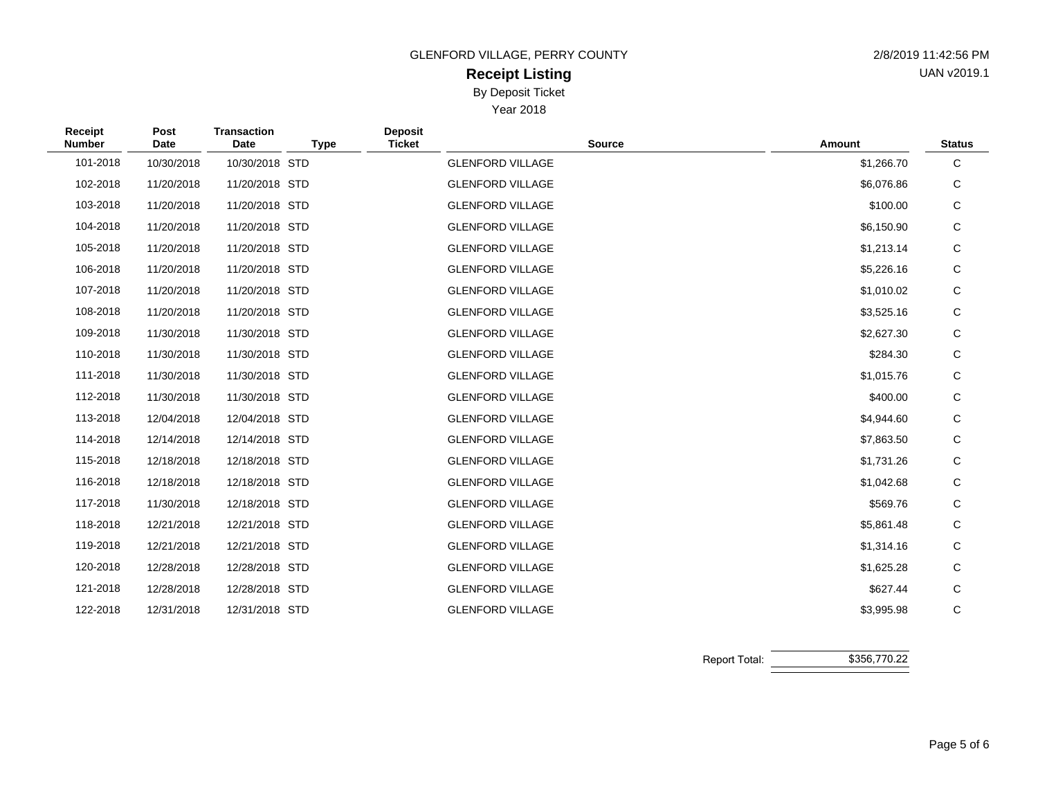GLENFORD VILLAGE, PERRY COUNTY

# **Receipt Listing** By Deposit Ticket

Year 2018

| 2/8/2019 11:42:56 PM |
|----------------------|
| UAN v2019.1          |

| Receipt<br><b>Number</b> | Post<br><b>Date</b> | <b>Transaction</b><br>Date | <b>Type</b> | <b>Deposit</b><br><b>Ticket</b> | <b>Source</b>           | Amount     | <b>Status</b> |
|--------------------------|---------------------|----------------------------|-------------|---------------------------------|-------------------------|------------|---------------|
| 101-2018                 | 10/30/2018          | 10/30/2018 STD             |             |                                 | <b>GLENFORD VILLAGE</b> | \$1,266.70 | C             |
| 102-2018                 | 11/20/2018          | 11/20/2018 STD             |             |                                 | <b>GLENFORD VILLAGE</b> | \$6,076.86 | С             |
| 103-2018                 | 11/20/2018          | 11/20/2018 STD             |             |                                 | <b>GLENFORD VILLAGE</b> | \$100.00   | C             |
| 104-2018                 | 11/20/2018          | 11/20/2018 STD             |             |                                 | <b>GLENFORD VILLAGE</b> | \$6,150.90 | С             |
| 105-2018                 | 11/20/2018          | 11/20/2018 STD             |             |                                 | <b>GLENFORD VILLAGE</b> | \$1,213.14 | $\mathsf C$   |
| 106-2018                 | 11/20/2018          | 11/20/2018 STD             |             |                                 | <b>GLENFORD VILLAGE</b> | \$5,226.16 | С             |
| 107-2018                 | 11/20/2018          | 11/20/2018 STD             |             |                                 | <b>GLENFORD VILLAGE</b> | \$1,010.02 | $\mathsf C$   |
| 108-2018                 | 11/20/2018          | 11/20/2018 STD             |             |                                 | <b>GLENFORD VILLAGE</b> | \$3,525.16 | С             |
| 109-2018                 | 11/30/2018          | 11/30/2018 STD             |             |                                 | <b>GLENFORD VILLAGE</b> | \$2,627.30 | C             |
| 110-2018                 | 11/30/2018          | 11/30/2018 STD             |             |                                 | <b>GLENFORD VILLAGE</b> | \$284.30   | С             |
| 111-2018                 | 11/30/2018          | 11/30/2018 STD             |             |                                 | <b>GLENFORD VILLAGE</b> | \$1,015.76 | $\mathsf C$   |
| 112-2018                 | 11/30/2018          | 11/30/2018 STD             |             |                                 | <b>GLENFORD VILLAGE</b> | \$400.00   | С             |
| 113-2018                 | 12/04/2018          | 12/04/2018 STD             |             |                                 | <b>GLENFORD VILLAGE</b> | \$4,944.60 | C             |
| 114-2018                 | 12/14/2018          | 12/14/2018 STD             |             |                                 | <b>GLENFORD VILLAGE</b> | \$7,863.50 | С             |
| 115-2018                 | 12/18/2018          | 12/18/2018 STD             |             |                                 | <b>GLENFORD VILLAGE</b> | \$1,731.26 | $\mathsf C$   |
| 116-2018                 | 12/18/2018          | 12/18/2018 STD             |             |                                 | <b>GLENFORD VILLAGE</b> | \$1,042.68 | С             |
| 117-2018                 | 11/30/2018          | 12/18/2018 STD             |             |                                 | <b>GLENFORD VILLAGE</b> | \$569.76   | C             |
| 118-2018                 | 12/21/2018          | 12/21/2018 STD             |             |                                 | <b>GLENFORD VILLAGE</b> | \$5,861.48 | С             |
| 119-2018                 | 12/21/2018          | 12/21/2018 STD             |             |                                 | <b>GLENFORD VILLAGE</b> | \$1,314.16 | С             |
| 120-2018                 | 12/28/2018          | 12/28/2018 STD             |             |                                 | <b>GLENFORD VILLAGE</b> | \$1,625.28 | $\mathsf C$   |
| 121-2018                 | 12/28/2018          | 12/28/2018 STD             |             |                                 | <b>GLENFORD VILLAGE</b> | \$627.44   | C             |
| 122-2018                 | 12/31/2018          | 12/31/2018 STD             |             |                                 | <b>GLENFORD VILLAGE</b> | \$3,995.98 | $\mathsf{C}$  |

Report Total: \$356,770.22